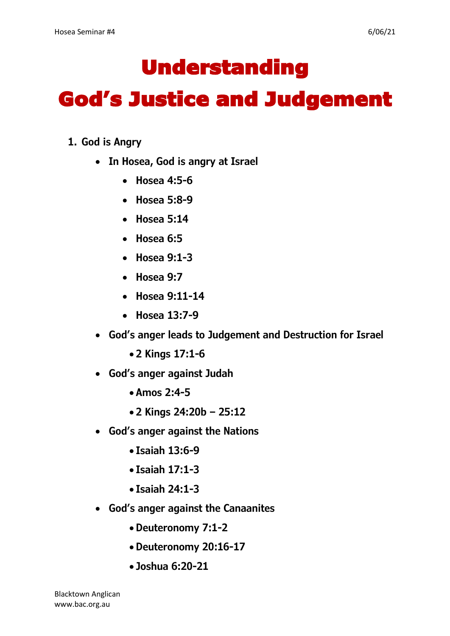## Understanding

## God's Justice and Judgement

- **1. God is Angry**
	- **In Hosea, God is angry at Israel**
		- **Hosea 4:5-6**
		- **Hosea 5:8-9**
		- **Hosea 5:14**
		- **Hosea 6:5**
		- **Hosea 9:1-3**
		- **Hosea 9:7**
		- **Hosea 9:11-14**
		- **Hosea 13:7-9**
	- **God's anger leads to Judgement and Destruction for Israel**
		- **2 Kings 17:1-6**
	- **God's anger against Judah**
		- **Amos 2:4-5**
		- **2 Kings 24:20b – 25:12**
	- **God's anger against the Nations**
		- **Isaiah 13:6-9**
		- **Isaiah 17:1-3**
		- **Isaiah 24:1-3**
	- **God's anger against the Canaanites**
		- **Deuteronomy 7:1-2**
		- **Deuteronomy 20:16-17**
		- **Joshua 6:20-21**